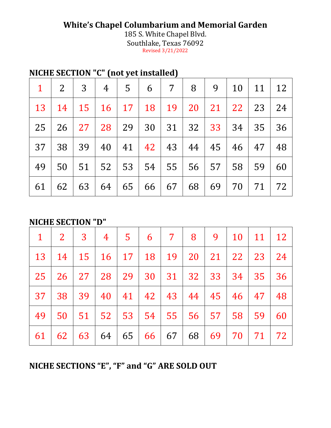## **White's Chapel Columbarium and Memorial Garden**

185 S. White Chapel Blvd. Southlake, Texas 76092 Revised 3/21/2022

## **NICHE SECTION "C" (not yet installed)**

|                 |    |  | $1 \mid 2 \mid 3 \mid 4 \mid 5 \mid 6 \mid 7 \mid 8 \mid 9 \mid 10 \mid 11 \mid 12$ |  |  |    |         |
|-----------------|----|--|-------------------------------------------------------------------------------------|--|--|----|---------|
|                 |    |  | 13   14   15   16   17   18   19   20   21   22   23   24                           |  |  |    |         |
|                 |    |  | 25   26   27   28   29   30   31   32   33   34   35                                |  |  |    | 36      |
| 37 <sup>2</sup> |    |  | 38 39 40 41 42 43 44 45 46 47                                                       |  |  |    | 48      |
| 49              |    |  | 50   51   52   53   54   55   56   57   58   59                                     |  |  |    | 60      |
| 61              | 62 |  | 63   64   65   66   67   68   69                                                    |  |  | 70 | 71   72 |

## **NICHE SECTION "D"**

| $\mathbf 1$     | $2 \mid 3 \mid$ |  | 4 5 6 7 8 9 10 11 12                                      |  |          |           |     |
|-----------------|-----------------|--|-----------------------------------------------------------|--|----------|-----------|-----|
|                 |                 |  | 13   14   15   16   17   18   19   20   21   22   23   24 |  |          |           |     |
| 25              |                 |  | 26   27   28   29   30   31   32   33   34   35           |  |          |           | 36  |
| 37 <sup>1</sup> |                 |  | 38 39 40 41 42 43 44 45 46 47                             |  |          |           | -48 |
| 49              |                 |  | 50   51   52   53   54   55   56   57   58                |  |          | 59        | 60  |
| 61              | 62              |  | 63   64   65   66   67                                    |  | 68 69 70 | <b>71</b> | 72  |

**NICHE SECTIONS "E", "F" and "G" ARE SOLD OUT**